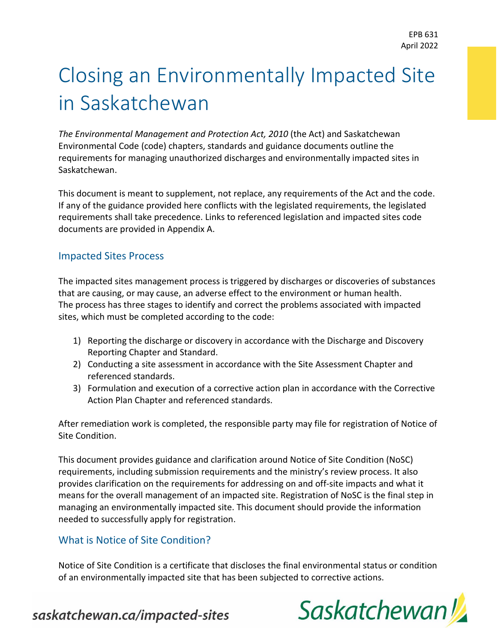## Closing an Environmentally Impacted Site in Saskatchewan

*The Environmental Management and Protection Act, 2010* (the Act) and Saskatchewan Environmental Code (code) chapters, standards and guidance documents outline the requirements for managing unauthorized discharges and environmentally impacted sites in Saskatchewan.

This document is meant to supplement, not replace, any requirements of the Act and the code. If any of the guidance provided here conflicts with the legislated requirements, the legislated requirements shall take precedence. Links to referenced legislation and impacted sites code documents are provided in Appendix A.

#### Impacted Sites Process

The impacted sites management process is triggered by discharges or discoveries of substances that are causing, or may cause, an adverse effect to the environment or human health. The process has three stages to identify and correct the problems associated with impacted sites, which must be completed according to the code:

- 1) Reporting the discharge or discovery in accordance with the Discharge and Discovery Reporting Chapter and Standard.
- 2) Conducting a site assessment in accordance with the Site Assessment Chapter and referenced standards.
- 3) Formulation and execution of a corrective action plan in accordance with the Corrective Action Plan Chapter and referenced standards.

After remediation work is completed, the responsible party may file for registration of Notice of Site Condition.

This document provides guidance and clarification around Notice of Site Condition (NoSC) requirements, including submission requirements and the ministry's review process. It also provides clarification on the requirements for addressing on and off-site impacts and what it means for the overall management of an impacted site. Registration of NoSC is the final step in managing an environmentally impacted site. This document should provide the information needed to successfully apply for registration.

#### What is Notice of Site Condition?

Notice of Site Condition is a certificate that discloses the final environmental status or condition of an environmentally impacted site that has been subjected to corrective actions.

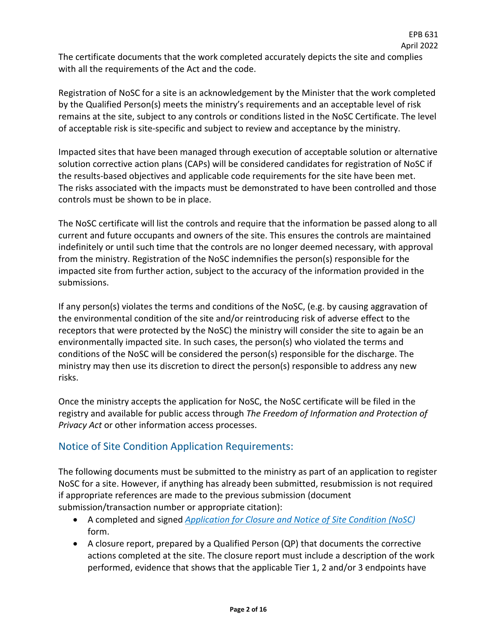The certificate documents that the work completed accurately depicts the site and complies with all the requirements of the Act and the code.

EPB 631 April 2022

Registration of NoSC for a site is an acknowledgement by the Minister that the work completed by the Qualified Person(s) meets the ministry's requirements and an acceptable level of risk remains at the site, subject to any controls or conditions listed in the NoSC Certificate. The level of acceptable risk is site-specific and subject to review and acceptance by the ministry.

Impacted sites that have been managed through execution of acceptable solution or alternative solution corrective action plans (CAPs) will be considered candidates for registration of NoSC if the results-based objectives and applicable code requirements for the site have been met. The risks associated with the impacts must be demonstrated to have been controlled and those controls must be shown to be in place.

The NoSC certificate will list the controls and require that the information be passed along to all current and future occupants and owners of the site. This ensures the controls are maintained indefinitely or until such time that the controls are no longer deemed necessary, with approval from the ministry. Registration of the NoSC indemnifies the person(s) responsible for the impacted site from further action, subject to the accuracy of the information provided in the submissions.

If any person(s) violates the terms and conditions of the NoSC, (e.g. by causing aggravation of the environmental condition of the site and/or reintroducing risk of adverse effect to the receptors that were protected by the NoSC) the ministry will consider the site to again be an environmentally impacted site. In such cases, the person(s) who violated the terms and conditions of the NoSC will be considered the person(s) responsible for the discharge. The ministry may then use its discretion to direct the person(s) responsible to address any new risks.

Once the ministry accepts the application for NoSC, the NoSC certificate will be filed in the registry and available for public access through *The Freedom of Information and Protection of Privacy Act* or other information access processes.

#### Notice of Site Condition Application Requirements:

The following documents must be submitted to the ministry as part of an application to register NoSC for a site. However, if anything has already been submitted, resubmission is not required if appropriate references are made to the previous submission (document submission/transaction number or appropriate citation):

- A completed and signed *[Application for Closure and Notice of Site Condition \(NoSC\)](https://publications.saskatchewan.ca/#/products/73872)* form.
- A closure report, prepared by a Qualified Person (QP) that documents the corrective actions completed at the site. The closure report must include a description of the work performed, evidence that shows that the applicable Tier 1, 2 and/or 3 endpoints have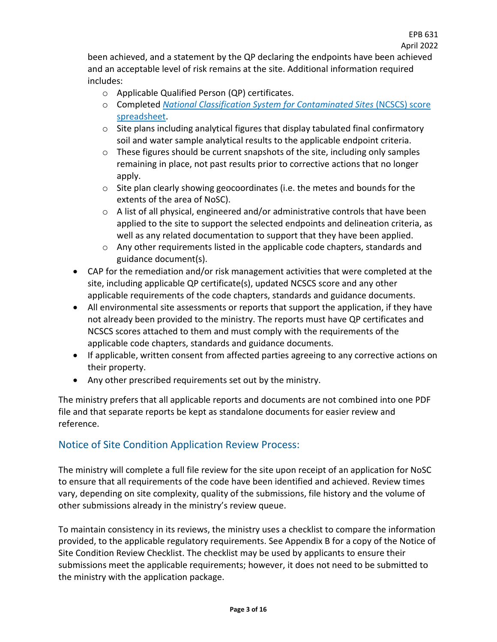been achieved, and a statement by the QP declaring the endpoints have been achieved and an acceptable level of risk remains at the site. Additional information required includes:

- o Applicable Qualified Person (QP) certificates.
- o Completed *[National Classification System for Contaminated Sites](https://www.ccme.ca/en/res/ncscs_guidance_e.pdf)* (NCSCS) score [spreadsheet.](https://www.ccme.ca/en/res/ncscs_guidance_e.pdf)
- $\circ$  Site plans including analytical figures that display tabulated final confirmatory soil and water sample analytical results to the applicable endpoint criteria.
- $\circ$  These figures should be current snapshots of the site, including only samples remaining in place, not past results prior to corrective actions that no longer apply.
- $\circ$  Site plan clearly showing geocoordinates (i.e. the metes and bounds for the extents of the area of NoSC).
- $\circ$  A list of all physical, engineered and/or administrative controls that have been applied to the site to support the selected endpoints and delineation criteria, as well as any related documentation to support that they have been applied.
- o Any other requirements listed in the applicable code chapters, standards and guidance document(s).
- CAP for the remediation and/or risk management activities that were completed at the site, including applicable QP certificate(s), updated NCSCS score and any other applicable requirements of the code chapters, standards and guidance documents.
- All environmental site assessments or reports that support the application, if they have not already been provided to the ministry. The reports must have QP certificates and NCSCS scores attached to them and must comply with the requirements of the applicable code chapters, standards and guidance documents.
- If applicable, written consent from affected parties agreeing to any corrective actions on their property.
- Any other prescribed requirements set out by the ministry.

The ministry prefers that all applicable reports and documents are not combined into one PDF file and that separate reports be kept as standalone documents for easier review and reference.

#### Notice of Site Condition Application Review Process:

The ministry will complete a full file review for the site upon receipt of an application for NoSC to ensure that all requirements of the code have been identified and achieved. Review times vary, depending on site complexity, quality of the submissions, file history and the volume of other submissions already in the ministry's review queue.

To maintain consistency in its reviews, the ministry uses a checklist to compare the information provided, to the applicable regulatory requirements. See Appendix B for a copy of the Notice of Site Condition Review Checklist. The checklist may be used by applicants to ensure their submissions meet the applicable requirements; however, it does not need to be submitted to the ministry with the application package.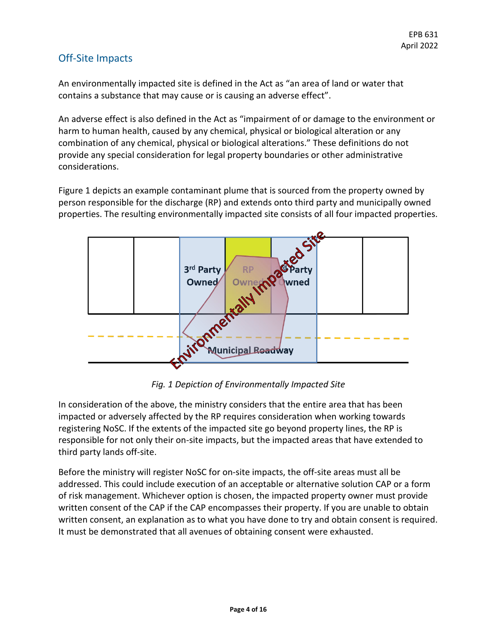#### Off-Site Impacts

An environmentally impacted site is defined in the Act as "an area of land or water that contains a substance that may cause or is causing an adverse effect".

An adverse effect is also defined in the Act as "impairment of or damage to the environment or harm to human health, caused by any chemical, physical or biological alteration or any combination of any chemical, physical or biological alterations." These definitions do not provide any special consideration for legal property boundaries or other administrative considerations.

Figure 1 depicts an example contaminant plume that is sourced from the property owned by person responsible for the discharge (RP) and extends onto third party and municipally owned properties. The resulting environmentally impacted site consists of all four impacted properties.



*Fig. 1 Depiction of Environmentally Impacted Site*

In consideration of the above, the ministry considers that the entire area that has been impacted or adversely affected by the RP requires consideration when working towards registering NoSC. If the extents of the impacted site go beyond property lines, the RP is responsible for not only their on-site impacts, but the impacted areas that have extended to third party lands off-site.

Before the ministry will register NoSC for on-site impacts, the off-site areas must all be addressed. This could include execution of an acceptable or alternative solution CAP or a form of risk management. Whichever option is chosen, the impacted property owner must provide written consent of the CAP if the CAP encompasses their property. If you are unable to obtain written consent, an explanation as to what you have done to try and obtain consent is required. It must be demonstrated that all avenues of obtaining consent were exhausted.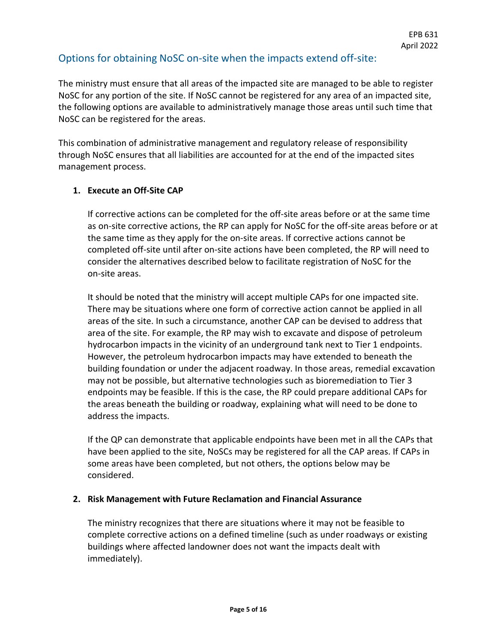#### Options for obtaining NoSC on-site when the impacts extend off-site:

The ministry must ensure that all areas of the impacted site are managed to be able to register NoSC for any portion of the site. If NoSC cannot be registered for any area of an impacted site, the following options are available to administratively manage those areas until such time that NoSC can be registered for the areas.

This combination of administrative management and regulatory release of responsibility through NoSC ensures that all liabilities are accounted for at the end of the impacted sites management process.

#### **1. Execute an Off-Site CAP**

If corrective actions can be completed for the off-site areas before or at the same time as on-site corrective actions, the RP can apply for NoSC for the off-site areas before or at the same time as they apply for the on-site areas. If corrective actions cannot be completed off-site until after on-site actions have been completed, the RP will need to consider the alternatives described below to facilitate registration of NoSC for the on-site areas.

It should be noted that the ministry will accept multiple CAPs for one impacted site. There may be situations where one form of corrective action cannot be applied in all areas of the site. In such a circumstance, another CAP can be devised to address that area of the site. For example, the RP may wish to excavate and dispose of petroleum hydrocarbon impacts in the vicinity of an underground tank next to Tier 1 endpoints. However, the petroleum hydrocarbon impacts may have extended to beneath the building foundation or under the adjacent roadway. In those areas, remedial excavation may not be possible, but alternative technologies such as bioremediation to Tier 3 endpoints may be feasible. If this is the case, the RP could prepare additional CAPs for the areas beneath the building or roadway, explaining what will need to be done to address the impacts.

If the QP can demonstrate that applicable endpoints have been met in all the CAPs that have been applied to the site, NoSCs may be registered for all the CAP areas. If CAPs in some areas have been completed, but not others, the options below may be considered.

#### **2. Risk Management with Future Reclamation and Financial Assurance**

The ministry recognizes that there are situations where it may not be feasible to complete corrective actions on a defined timeline (such as under roadways or existing buildings where affected landowner does not want the impacts dealt with immediately).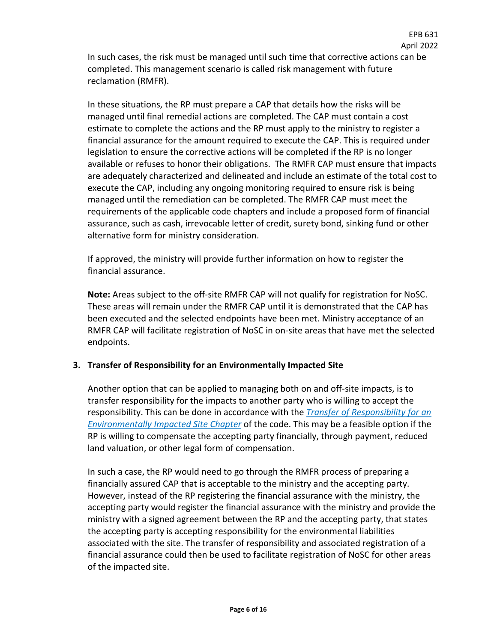April 2022 In such cases, the risk must be managed until such time that corrective actions can be completed. This management scenario is called risk management with future reclamation (RMFR).

EPB 631

In these situations, the RP must prepare a CAP that details how the risks will be managed until final remedial actions are completed. The CAP must contain a cost estimate to complete the actions and the RP must apply to the ministry to register a financial assurance for the amount required to execute the CAP. This is required under legislation to ensure the corrective actions will be completed if the RP is no longer available or refuses to honor their obligations. The RMFR CAP must ensure that impacts are adequately characterized and delineated and include an estimate of the total cost to execute the CAP, including any ongoing monitoring required to ensure risk is being managed until the remediation can be completed. The RMFR CAP must meet the requirements of the applicable code chapters and include a proposed form of financial assurance, such as cash, irrevocable letter of credit, surety bond, sinking fund or other alternative form for ministry consideration.

If approved, the ministry will provide further information on how to register the financial assurance.

**Note:** Areas subject to the off-site RMFR CAP will not qualify for registration for NoSC. These areas will remain under the RMFR CAP until it is demonstrated that the CAP has been executed and the selected endpoints have been met. Ministry acceptance of an RMFR CAP will facilitate registration of NoSC in on-site areas that have met the selected endpoints.

#### **3. Transfer of Responsibility for an Environmentally Impacted Site**

Another option that can be applied to managing both on and off-site impacts, is to transfer responsibility for the impacts to another party who is willing to accept the responsibility. This can be done in accordance with the *[Transfer of Responsibility for an](https://publications.saskatchewan.ca/#/products/77452)  [Environmentally Impacted Site Chapter](https://publications.saskatchewan.ca/#/products/77452)* of the code. This may be a feasible option if the RP is willing to compensate the accepting party financially, through payment, reduced land valuation, or other legal form of compensation.

In such a case, the RP would need to go through the RMFR process of preparing a financially assured CAP that is acceptable to the ministry and the accepting party. However, instead of the RP registering the financial assurance with the ministry, the accepting party would register the financial assurance with the ministry and provide the ministry with a signed agreement between the RP and the accepting party, that states the accepting party is accepting responsibility for the environmental liabilities associated with the site. The transfer of responsibility and associated registration of a financial assurance could then be used to facilitate registration of NoSC for other areas of the impacted site.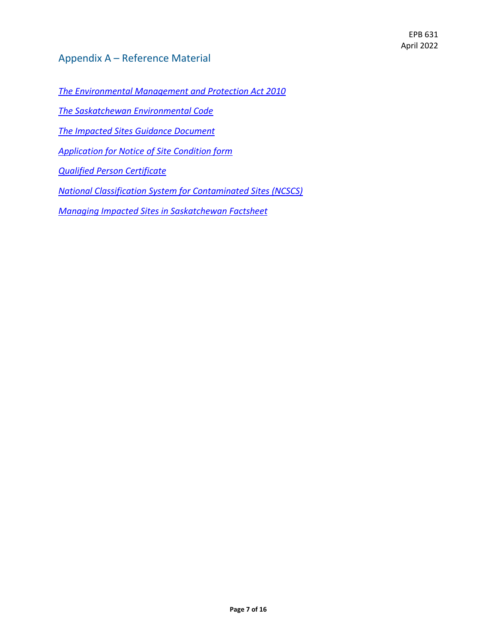#### Appendix A – Reference Material

*[The Environmental Management and Protection Act 2010](https://publications.saskatchewan.ca/api/v1/products/31893/formats/81952/download)*

*[The Saskatchewan Environmental Code](https://pubsaskdev.blob.core.windows.net/pubsask-prod/86816/86816-Z_Consolidated_Code_Chapters.pdf)*

*[The Impacted Sites Guidance Document](http://www.environment.gov.sk.ca/Default.aspx?DN=125d335b-34c4-4072-8e1e-fb9408498231)*

*[Application for Notice of Site Condition form](https://publications.saskatchewan.ca/#/products/73872)*

*[Qualified Person Certificate](https://publications.saskatchewan.ca/api/v1/products/78695/formats/88909/download)*

*[National Classification System for Contaminated Sites \(NCSCS\)](https://www.ccme.ca/en/res/ncscs_guidance_e.pdf)*

*[Managing Impacted Sites in Saskatchewan Factsheet](https://publications.saskatchewan.ca/#/products/103934)*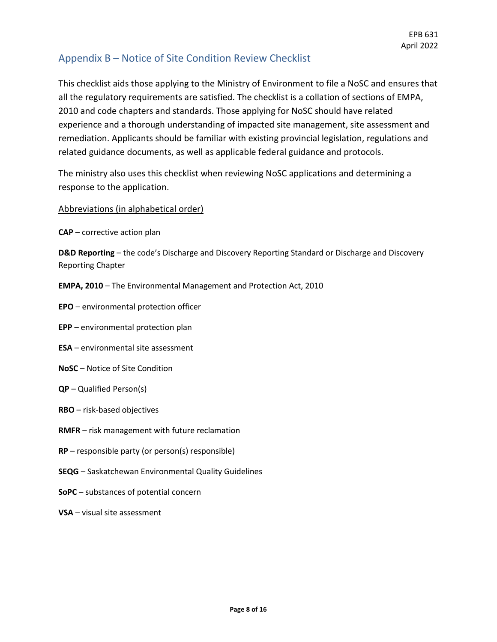#### Appendix B – Notice of Site Condition Review Checklist

This checklist aids those applying to the Ministry of Environment to file a NoSC and ensures that all the regulatory requirements are satisfied. The checklist is a collation of sections of EMPA, 2010 and code chapters and standards. Those applying for NoSC should have related experience and a thorough understanding of impacted site management, site assessment and remediation. Applicants should be familiar with existing provincial legislation, regulations and related guidance documents, as well as applicable federal guidance and protocols.

The ministry also uses this checklist when reviewing NoSC applications and determining a response to the application.

#### Abbreviations (in alphabetical order)

**CAP** – corrective action plan

**D&D Reporting** – the code's Discharge and Discovery Reporting Standard or Discharge and Discovery Reporting Chapter

**EMPA, 2010** – The Environmental Management and Protection Act, 2010

- **EPO** environmental protection officer
- **EPP** environmental protection plan
- **ESA** environmental site assessment
- **NoSC**  Notice of Site Condition
- **QP**  Qualified Person(s)
- **RBO**  risk-based objectives
- **RMFR** risk management with future reclamation
- **RP** responsible party (or person(s) responsible)
- **SEQG**  Saskatchewan Environmental Quality Guidelines
- **SoPC** substances of potential concern
- **VSA** visual site assessment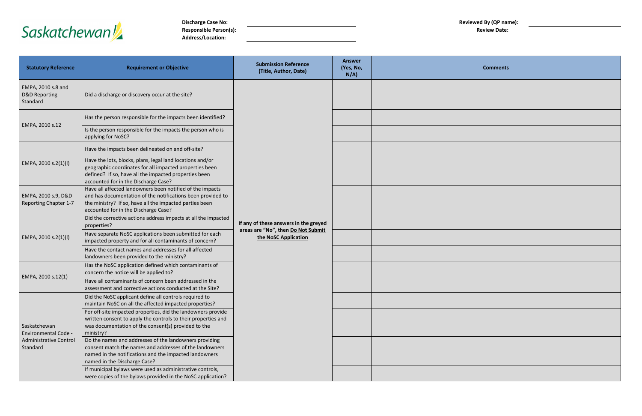# Saskatchewan

**Discharge Case No: Reviewed By (QP name): Responsible Person(s): Responsible Person(s): Review Date: Review Date: Review Date: Review Date: Review Date: Review Date: Review Date: Review Date: Review Date: Review Date: Review Date: Review Address/Location:**



| <b>Statutory Reference</b>                                                               | <b>Requirement or Objective</b>                                                                                                                                                                                             | <b>Submission Reference</b><br>(Title, Author, Date)                                                | <b>Answer</b><br>(Yes, No,<br>$N/A$ ) |  |
|------------------------------------------------------------------------------------------|-----------------------------------------------------------------------------------------------------------------------------------------------------------------------------------------------------------------------------|-----------------------------------------------------------------------------------------------------|---------------------------------------|--|
| EMPA, 2010 s.8 and<br><b>D&amp;D Reporting</b><br>Standard                               | Did a discharge or discovery occur at the site?                                                                                                                                                                             |                                                                                                     |                                       |  |
|                                                                                          | Has the person responsible for the impacts been identified?                                                                                                                                                                 |                                                                                                     |                                       |  |
| EMPA, 2010 s.12                                                                          | Is the person responsible for the impacts the person who is<br>applying for NoSC?                                                                                                                                           |                                                                                                     |                                       |  |
|                                                                                          | Have the impacts been delineated on and off-site?                                                                                                                                                                           |                                                                                                     |                                       |  |
| EMPA, 2010 s.2(1)(l)                                                                     | Have the lots, blocks, plans, legal land locations and/or<br>geographic coordinates for all impacted properties been<br>defined? If so, have all the impacted properties been<br>accounted for in the Discharge Case?       | If any of these answers in the greyed<br>areas are "No", then Do Not Submit<br>the NoSC Application |                                       |  |
| EMPA, 2010 s.9, D&D<br><b>Reporting Chapter 1-7</b>                                      | Have all affected landowners been notified of the impacts<br>and has documentation of the notifications been provided to<br>the ministry? If so, have all the impacted parties been<br>accounted for in the Discharge Case? |                                                                                                     |                                       |  |
|                                                                                          | Did the corrective actions address impacts at all the impacted<br>properties?                                                                                                                                               |                                                                                                     |                                       |  |
| EMPA, 2010 s.2(1)(l)                                                                     | Have separate NoSC applications been submitted for each<br>impacted property and for all contaminants of concern?                                                                                                           |                                                                                                     |                                       |  |
|                                                                                          | Have the contact names and addresses for all affected<br>landowners been provided to the ministry?                                                                                                                          |                                                                                                     |                                       |  |
|                                                                                          | Has the NoSC application defined which contaminants of<br>concern the notice will be applied to?                                                                                                                            |                                                                                                     |                                       |  |
| EMPA, 2010 s.12(1)                                                                       | Have all contaminants of concern been addressed in the<br>assessment and corrective actions conducted at the Site?                                                                                                          |                                                                                                     |                                       |  |
|                                                                                          | Did the NoSC applicant define all controls required to<br>maintain NoSC on all the affected impacted properties?                                                                                                            |                                                                                                     |                                       |  |
| Saskatchewan<br><b>Environmental Code -</b><br><b>Administrative Control</b><br>Standard | For off-site impacted properties, did the landowners provide<br>written consent to apply the controls to their properties and<br>was documentation of the consent(s) provided to the<br>ministry?                           |                                                                                                     |                                       |  |
|                                                                                          | Do the names and addresses of the landowners providing<br>consent match the names and addresses of the landowners<br>named in the notifications and the impacted landowners<br>named in the Discharge Case?                 |                                                                                                     |                                       |  |
|                                                                                          | If municipal bylaws were used as administrative controls,<br>were copies of the bylaws provided in the NoSC application?                                                                                                    |                                                                                                     |                                       |  |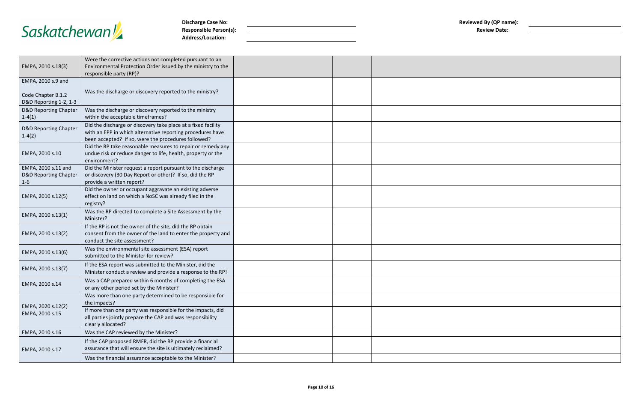

**Discharge Case No: Reviewed By (QP name): Reviewed By (QP name): Reviewed By (QP name): Reviewed By (QP name):**  $Responsible Person(s):$ **Address/Location:**

| wed By (QP name):   |  |
|---------------------|--|
| <b>Review Date:</b> |  |

| EMPA, 2010 s.18(3)                                                 | Were the corrective actions not completed pursuant to an<br>Environmental Protection Order issued by the ministry to the<br>responsible party (RP)?                                |  |
|--------------------------------------------------------------------|------------------------------------------------------------------------------------------------------------------------------------------------------------------------------------|--|
| EMPA, 2010 s.9 and                                                 |                                                                                                                                                                                    |  |
| Code Chapter B.1.2<br>D&D Reporting 1-2, 1-3                       | Was the discharge or discovery reported to the ministry?                                                                                                                           |  |
| <b>D&amp;D Reporting Chapter</b><br>$1-4(1)$                       | Was the discharge or discovery reported to the ministry<br>within the acceptable timeframes?                                                                                       |  |
| <b>D&amp;D Reporting Chapter</b><br>$1-4(2)$                       | Did the discharge or discovery take place at a fixed facility<br>with an EPP in which alternative reporting procedures have<br>been accepted? If so, were the procedures followed? |  |
| EMPA, 2010 s.10                                                    | Did the RP take reasonable measures to repair or remedy any<br>undue risk or reduce danger to life, health, property or the<br>environment?                                        |  |
| EMPA, 2010 s.11 and<br><b>D&amp;D Reporting Chapter</b><br>$1 - 6$ | Did the Minister request a report pursuant to the discharge<br>or discovery (30 Day Report or other)? If so, did the RP<br>provide a written report?                               |  |
| EMPA, 2010 s.12(5)                                                 | Did the owner or occupant aggravate an existing adverse<br>effect on land on which a NoSC was already filed in the<br>registry?                                                    |  |
| EMPA, 2010 s.13(1)                                                 | Was the RP directed to complete a Site Assessment by the<br>Minister?                                                                                                              |  |
| EMPA, 2010 s.13(2)                                                 | If the RP is not the owner of the site, did the RP obtain<br>consent from the owner of the land to enter the property and<br>conduct the site assessment?                          |  |
| EMPA, 2010 s.13(6)                                                 | Was the environmental site assessment (ESA) report<br>submitted to the Minister for review?                                                                                        |  |
| EMPA, 2010 s.13(7)                                                 | If the ESA report was submitted to the Minister, did the<br>Minister conduct a review and provide a response to the RP?                                                            |  |
| EMPA, 2010 s.14                                                    | Was a CAP prepared within 6 months of completing the ESA<br>or any other period set by the Minister?                                                                               |  |
| EMPA, 2020 s.12(2)                                                 | Was more than one party determined to be responsible for<br>the impacts?                                                                                                           |  |
| EMPA, 2010 s.15                                                    | If more than one party was responsible for the impacts, did<br>all parties jointly prepare the CAP and was responsibility<br>clearly allocated?                                    |  |
| EMPA, 2010 s.16                                                    | Was the CAP reviewed by the Minister?                                                                                                                                              |  |
| EMPA, 2010 s.17                                                    | If the CAP proposed RMFR, did the RP provide a financial<br>assurance that will ensure the site is ultimately reclaimed?                                                           |  |
|                                                                    | Was the financial assurance acceptable to the Minister?                                                                                                                            |  |
|                                                                    |                                                                                                                                                                                    |  |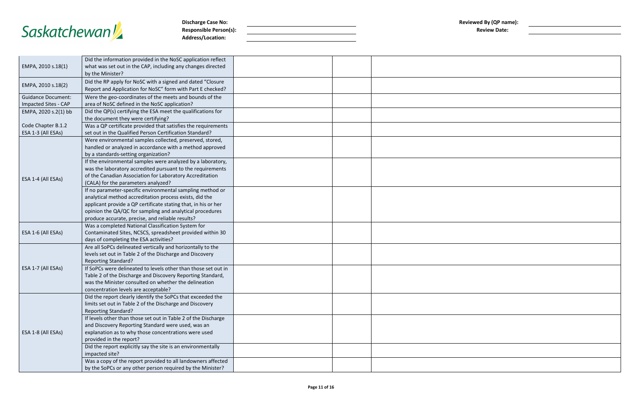

**Discharge Case No: Reviewed By (QP name): Reviewed By (QP name): Reviewed By (QP name): Reviewed By (QP name): Reviewed By (QP name): Reviewed By (QP name): Reviewed By (QP name): Reviewed By (QP name):**  $Responsible Person(s):$ **Address/Location:**

| ewed By (QP name):<br><b>Review Date:</b> |  |  |
|-------------------------------------------|--|--|
|                                           |  |  |
|                                           |  |  |
|                                           |  |  |
|                                           |  |  |
|                                           |  |  |
|                                           |  |  |
|                                           |  |  |
|                                           |  |  |
|                                           |  |  |
|                                           |  |  |
|                                           |  |  |
|                                           |  |  |
|                                           |  |  |
|                                           |  |  |
|                                           |  |  |
|                                           |  |  |
|                                           |  |  |
|                                           |  |  |
|                                           |  |  |
|                                           |  |  |

|                           | Did the information provided in the NoSC application reflect                           |  |
|---------------------------|----------------------------------------------------------------------------------------|--|
| EMPA, 2010 s.18(1)        | what was set out in the CAP, including any changes directed                            |  |
|                           | by the Minister?                                                                       |  |
|                           | Did the RP apply for NoSC with a signed and dated "Closure                             |  |
| EMPA, 2010 s.18(2)        | Report and Application for NoSC" form with Part E checked?                             |  |
| <b>Guidance Document:</b> | Were the geo-coordinates of the meets and bounds of the                                |  |
| Impacted Sites - CAP      | area of NoSC defined in the NoSC application?                                          |  |
| EMPA, 2020 s.2(1) bb      | Did the QP(s) certifying the ESA meet the qualifications for                           |  |
|                           | the document they were certifying?                                                     |  |
| Code Chapter B.1.2        | Was a QP certificate provided that satisfies the requirements                          |  |
| ESA 1-3 (All ESAs)        | set out in the Qualified Person Certification Standard?                                |  |
|                           | Were environmental samples collected, preserved, stored,                               |  |
|                           | handled or analyzed in accordance with a method approved                               |  |
|                           | by a standards-setting organization?                                                   |  |
|                           | If the environmental samples were analyzed by a laboratory,                            |  |
|                           | was the laboratory accredited pursuant to the requirements                             |  |
| ESA 1-4 (All ESAs)        | of the Canadian Association for Laboratory Accreditation                               |  |
|                           | (CALA) for the parameters analyzed?                                                    |  |
|                           | If no parameter-specific environmental sampling method or                              |  |
|                           | analytical method accreditation process exists, did the                                |  |
|                           | applicant provide a QP certificate stating that, in his or her                         |  |
|                           | opinion the QA/QC for sampling and analytical procedures                               |  |
|                           | produce accurate, precise, and reliable results?                                       |  |
|                           | Was a completed National Classification System for                                     |  |
| ESA 1-6 (All ESAs)        | Contaminated Sites, NCSCS, spreadsheet provided within 30                              |  |
|                           | days of completing the ESA activities?                                                 |  |
|                           | Are all SoPCs delineated vertically and horizontally to the                            |  |
|                           | levels set out in Table 2 of the Discharge and Discovery                               |  |
|                           | <b>Reporting Standard?</b>                                                             |  |
| ESA 1-7 (All ESAs)        | If SoPCs were delineated to levels other than those set out in                         |  |
|                           | Table 2 of the Discharge and Discovery Reporting Standard,                             |  |
|                           | was the Minister consulted on whether the delineation                                  |  |
|                           | concentration levels are acceptable?                                                   |  |
|                           | Did the report clearly identify the SoPCs that exceeded the                            |  |
|                           | limits set out in Table 2 of the Discharge and Discovery<br><b>Reporting Standard?</b> |  |
|                           | If levels other than those set out in Table 2 of the Discharge                         |  |
|                           | and Discovery Reporting Standard were used, was an                                     |  |
|                           | explanation as to why those concentrations were used                                   |  |
| ESA 1-8 (All ESAs)        | provided in the report?                                                                |  |
|                           | Did the report explicitly say the site is an environmentally                           |  |
|                           | impacted site?                                                                         |  |
|                           | Was a copy of the report provided to all landowners affected                           |  |
|                           | by the SoPCs or any other person required by the Minister?                             |  |
|                           |                                                                                        |  |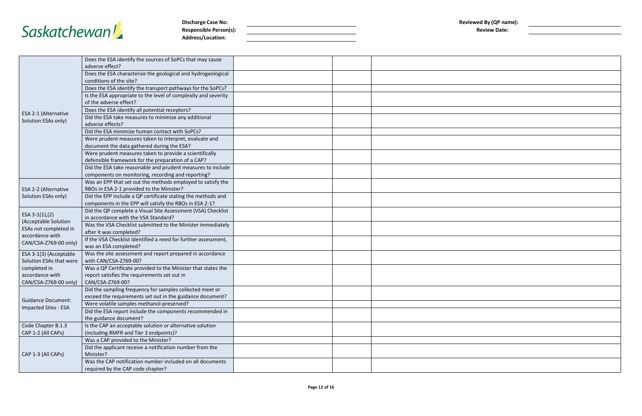

**Discharge Case No: Reviewed By (QP name): Reviewed By (QP name): Reviewed By (QP name): Reviewed By (QP name): Reviewed By (QP name): Reviewed By (QP name): Reviewed By (QP name): Reviewed By (QP name): Responsible Person(s): Address/Location:**

| viewed By (QP name):<br><b>Review Date:</b> |  |  |
|---------------------------------------------|--|--|
|                                             |  |  |
|                                             |  |  |
|                                             |  |  |
|                                             |  |  |
|                                             |  |  |
|                                             |  |  |
|                                             |  |  |
|                                             |  |  |
|                                             |  |  |
|                                             |  |  |
|                                             |  |  |
|                                             |  |  |
|                                             |  |  |
|                                             |  |  |
|                                             |  |  |
|                                             |  |  |
|                                             |  |  |
|                                             |  |  |
|                                             |  |  |
|                                             |  |  |
|                                             |  |  |
|                                             |  |  |
|                                             |  |  |
|                                             |  |  |
|                                             |  |  |

|                                                                  | Does the ESA identify the sources of SoPCs that may cause<br>adverse effect?                                                      |  |  |
|------------------------------------------------------------------|-----------------------------------------------------------------------------------------------------------------------------------|--|--|
|                                                                  | Does the ESA characterize the geological and hydrogeological<br>conditions of the site?                                           |  |  |
|                                                                  | Does the ESA identify the transport pathways for the SoPCs?                                                                       |  |  |
|                                                                  | Is the ESA appropriate to the level of complexity and severity<br>of the adverse effect?                                          |  |  |
|                                                                  | Does the ESA identify all potential receptors?                                                                                    |  |  |
| ESA 2-1 (Alternative<br>Solution ESAs only)                      | Did the ESA take measures to minimize any additional<br>adverse effects?                                                          |  |  |
|                                                                  | Did the ESA minimize human contact with SoPCs?                                                                                    |  |  |
|                                                                  | Were prudent measures taken to interpret, evaluate and<br>document the data gathered during the ESA?                              |  |  |
|                                                                  | Were prudent measures taken to provide a scientifically<br>defensible framework for the preparation of a CAP?                     |  |  |
|                                                                  | Did the ESA take reasonable and prudent measures to include<br>components on monitoring, recording and reporting?                 |  |  |
| ESA 2-2 (Alternative                                             | Was an EPP that set out the methods employed to satisfy the<br>RBOs in ESA 2-1 provided to the Minister?                          |  |  |
| Solution ESAs only)                                              | Did the EPP include a QP certificate stating the methods and<br>components in the EPP will satisfy the RBOs in ESA 2-1?           |  |  |
| ESA $3-1(1)$ , (2)                                               | Did the QP complete a Visual Site Assessment (VSA) Checklist<br>in accordance with the VSA Standard?                              |  |  |
| (Acceptable Solution<br>ESAs not completed in<br>accordance with | Was the VSA Checklist submitted to the Minister immediately<br>after it was completed?                                            |  |  |
| CAN/CSA-Z769-00 only)                                            | If the VSA Checklist identified a need for further assessment,<br>was an ESA completed?                                           |  |  |
| ESA 3-1(3) (Acceptable<br>Solution ESAs that were                | Was the site assessment and report prepared in accordance<br>with CAN/CSA-Z769-00?                                                |  |  |
| completed in<br>accordance with<br>CAN/CSA-Z769-00 only)         | Was a QP Certificate provided to the Minister that states the<br>report satisfies the requirements set out in<br>CAN/CSA-Z769-00? |  |  |
| <b>Guidance Document:</b>                                        | Did the sampling frequency for samples collected meet or<br>exceed the requirements set out in the guidance document?             |  |  |
|                                                                  | Were volatile samples methanol-preserved?                                                                                         |  |  |
| Impacted Sites - ESA                                             | Did the ESA report include the components recommended in<br>the guidance document?                                                |  |  |
| Code Chapter B.1.3                                               | Is the CAP an acceptable solution or alternative solution                                                                         |  |  |
| CAP 1-2 (All CAPs)                                               | (including RMFR and Tier 3 endpoints)?                                                                                            |  |  |
|                                                                  | Was a CAP provided to the Minister?                                                                                               |  |  |
| CAP 1-3 (All CAPs)                                               | Did the applicant receive a notification number from the<br>Minister?                                                             |  |  |
|                                                                  | Was the CAP notification number included on all documents<br>required by the CAP code chapter?                                    |  |  |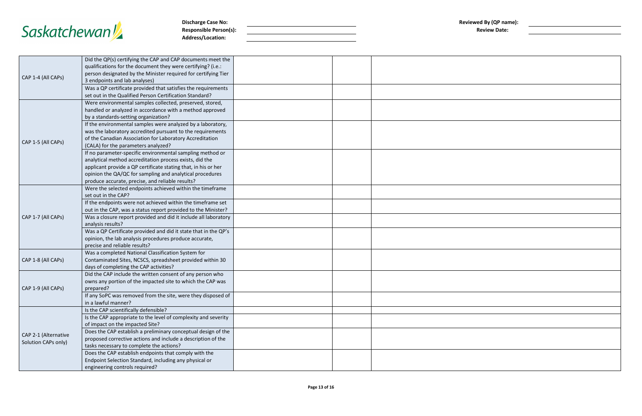

**Discharge Case No: Reviewed By (QP name): Reviewed By (QP name): Reviewed By (QP name): Reviewed By (QP name): Reviewed By (QP name): Reviewed By (QP name): Reviewed By (QP name): Reviewed By (QP name):** Responsible Person(s): **Address/Location:**

| eviewed By (QP name):<br><b>Review Date:</b> |  |  |
|----------------------------------------------|--|--|
|                                              |  |  |
|                                              |  |  |
|                                              |  |  |
|                                              |  |  |
|                                              |  |  |
|                                              |  |  |
|                                              |  |  |
|                                              |  |  |
|                                              |  |  |
|                                              |  |  |
|                                              |  |  |
|                                              |  |  |
|                                              |  |  |
|                                              |  |  |
|                                              |  |  |
|                                              |  |  |
|                                              |  |  |
|                                              |  |  |
|                                              |  |  |
|                                              |  |  |
|                                              |  |  |
|                                              |  |  |
|                                              |  |  |

| Did the QP(s) certifying the CAP and CAP documents meet the<br>qualifications for the document they were certifying? (i.e.:<br>person designated by the Minister required for certifying Tier<br>CAP 1-4 (All CAPs)<br>3 endpoints and lab analyses)<br>Was a QP certificate provided that satisfies the requirements<br>set out in the Qualified Person Certification Standard?<br>Were environmental samples collected, preserved, stored,<br>handled or analyzed in accordance with a method approved<br>by a standards-setting organization?<br>If the environmental samples were analyzed by a laboratory,<br>was the laboratory accredited pursuant to the requirements<br>of the Canadian Association for Laboratory Accreditation<br>CAP 1-5 (All CAPs)<br>(CALA) for the parameters analyzed?<br>If no parameter-specific environmental sampling method or<br>analytical method accreditation process exists, did the<br>applicant provide a QP certificate stating that, in his or her<br>opinion the QA/QC for sampling and analytical procedures<br>produce accurate, precise, and reliable results?<br>Were the selected endpoints achieved within the timeframe<br>set out in the CAP?<br>If the endpoints were not achieved within the timeframe set<br>out in the CAP, was a status report provided to the Minister?<br>CAP 1-7 (All CAPs)<br>Was a closure report provided and did it include all laboratory<br>analysis results?<br>Was a QP Certificate provided and did it state that in the QP's<br>opinion, the lab analysis procedures produce accurate,<br>precise and reliable results?<br>Was a completed National Classification System for<br>CAP 1-8 (All CAPs)<br>Contaminated Sites, NCSCS, spreadsheet provided within 30<br>days of completing the CAP activities?<br>Did the CAP include the written consent of any person who<br>owns any portion of the impacted site to which the CAP was<br>CAP 1-9 (All CAPs)<br>prepared?<br>If any SoPC was removed from the site, were they disposed of<br>in a lawful manner?<br>Is the CAP scientifically defensible?<br>Is the CAP appropriate to the level of complexity and severity<br>of impact on the impacted Site?<br>Does the CAP establish a preliminary conceptual design of the<br>CAP 2-1 (Alternative<br>proposed corrective actions and include a description of the<br>Solution CAPs only)<br>tasks necessary to complete the actions?<br>Does the CAP establish endpoints that comply with the<br>Endpoint Selection Standard, including any physical or<br>engineering controls required? |  |  |  |
|-----------------------------------------------------------------------------------------------------------------------------------------------------------------------------------------------------------------------------------------------------------------------------------------------------------------------------------------------------------------------------------------------------------------------------------------------------------------------------------------------------------------------------------------------------------------------------------------------------------------------------------------------------------------------------------------------------------------------------------------------------------------------------------------------------------------------------------------------------------------------------------------------------------------------------------------------------------------------------------------------------------------------------------------------------------------------------------------------------------------------------------------------------------------------------------------------------------------------------------------------------------------------------------------------------------------------------------------------------------------------------------------------------------------------------------------------------------------------------------------------------------------------------------------------------------------------------------------------------------------------------------------------------------------------------------------------------------------------------------------------------------------------------------------------------------------------------------------------------------------------------------------------------------------------------------------------------------------------------------------------------------------------------------------------------------------------------------------------------------------------------------------------------------------------------------------------------------------------------------------------------------------------------------------------------------------------------------------------------------------------------------------------------------------------------------------------------------------------------------------------------------------------------------------------------------------------------------------|--|--|--|
|                                                                                                                                                                                                                                                                                                                                                                                                                                                                                                                                                                                                                                                                                                                                                                                                                                                                                                                                                                                                                                                                                                                                                                                                                                                                                                                                                                                                                                                                                                                                                                                                                                                                                                                                                                                                                                                                                                                                                                                                                                                                                                                                                                                                                                                                                                                                                                                                                                                                                                                                                                                         |  |  |  |
|                                                                                                                                                                                                                                                                                                                                                                                                                                                                                                                                                                                                                                                                                                                                                                                                                                                                                                                                                                                                                                                                                                                                                                                                                                                                                                                                                                                                                                                                                                                                                                                                                                                                                                                                                                                                                                                                                                                                                                                                                                                                                                                                                                                                                                                                                                                                                                                                                                                                                                                                                                                         |  |  |  |
|                                                                                                                                                                                                                                                                                                                                                                                                                                                                                                                                                                                                                                                                                                                                                                                                                                                                                                                                                                                                                                                                                                                                                                                                                                                                                                                                                                                                                                                                                                                                                                                                                                                                                                                                                                                                                                                                                                                                                                                                                                                                                                                                                                                                                                                                                                                                                                                                                                                                                                                                                                                         |  |  |  |
|                                                                                                                                                                                                                                                                                                                                                                                                                                                                                                                                                                                                                                                                                                                                                                                                                                                                                                                                                                                                                                                                                                                                                                                                                                                                                                                                                                                                                                                                                                                                                                                                                                                                                                                                                                                                                                                                                                                                                                                                                                                                                                                                                                                                                                                                                                                                                                                                                                                                                                                                                                                         |  |  |  |
|                                                                                                                                                                                                                                                                                                                                                                                                                                                                                                                                                                                                                                                                                                                                                                                                                                                                                                                                                                                                                                                                                                                                                                                                                                                                                                                                                                                                                                                                                                                                                                                                                                                                                                                                                                                                                                                                                                                                                                                                                                                                                                                                                                                                                                                                                                                                                                                                                                                                                                                                                                                         |  |  |  |
|                                                                                                                                                                                                                                                                                                                                                                                                                                                                                                                                                                                                                                                                                                                                                                                                                                                                                                                                                                                                                                                                                                                                                                                                                                                                                                                                                                                                                                                                                                                                                                                                                                                                                                                                                                                                                                                                                                                                                                                                                                                                                                                                                                                                                                                                                                                                                                                                                                                                                                                                                                                         |  |  |  |
|                                                                                                                                                                                                                                                                                                                                                                                                                                                                                                                                                                                                                                                                                                                                                                                                                                                                                                                                                                                                                                                                                                                                                                                                                                                                                                                                                                                                                                                                                                                                                                                                                                                                                                                                                                                                                                                                                                                                                                                                                                                                                                                                                                                                                                                                                                                                                                                                                                                                                                                                                                                         |  |  |  |
|                                                                                                                                                                                                                                                                                                                                                                                                                                                                                                                                                                                                                                                                                                                                                                                                                                                                                                                                                                                                                                                                                                                                                                                                                                                                                                                                                                                                                                                                                                                                                                                                                                                                                                                                                                                                                                                                                                                                                                                                                                                                                                                                                                                                                                                                                                                                                                                                                                                                                                                                                                                         |  |  |  |
|                                                                                                                                                                                                                                                                                                                                                                                                                                                                                                                                                                                                                                                                                                                                                                                                                                                                                                                                                                                                                                                                                                                                                                                                                                                                                                                                                                                                                                                                                                                                                                                                                                                                                                                                                                                                                                                                                                                                                                                                                                                                                                                                                                                                                                                                                                                                                                                                                                                                                                                                                                                         |  |  |  |
|                                                                                                                                                                                                                                                                                                                                                                                                                                                                                                                                                                                                                                                                                                                                                                                                                                                                                                                                                                                                                                                                                                                                                                                                                                                                                                                                                                                                                                                                                                                                                                                                                                                                                                                                                                                                                                                                                                                                                                                                                                                                                                                                                                                                                                                                                                                                                                                                                                                                                                                                                                                         |  |  |  |
|                                                                                                                                                                                                                                                                                                                                                                                                                                                                                                                                                                                                                                                                                                                                                                                                                                                                                                                                                                                                                                                                                                                                                                                                                                                                                                                                                                                                                                                                                                                                                                                                                                                                                                                                                                                                                                                                                                                                                                                                                                                                                                                                                                                                                                                                                                                                                                                                                                                                                                                                                                                         |  |  |  |
|                                                                                                                                                                                                                                                                                                                                                                                                                                                                                                                                                                                                                                                                                                                                                                                                                                                                                                                                                                                                                                                                                                                                                                                                                                                                                                                                                                                                                                                                                                                                                                                                                                                                                                                                                                                                                                                                                                                                                                                                                                                                                                                                                                                                                                                                                                                                                                                                                                                                                                                                                                                         |  |  |  |
|                                                                                                                                                                                                                                                                                                                                                                                                                                                                                                                                                                                                                                                                                                                                                                                                                                                                                                                                                                                                                                                                                                                                                                                                                                                                                                                                                                                                                                                                                                                                                                                                                                                                                                                                                                                                                                                                                                                                                                                                                                                                                                                                                                                                                                                                                                                                                                                                                                                                                                                                                                                         |  |  |  |
|                                                                                                                                                                                                                                                                                                                                                                                                                                                                                                                                                                                                                                                                                                                                                                                                                                                                                                                                                                                                                                                                                                                                                                                                                                                                                                                                                                                                                                                                                                                                                                                                                                                                                                                                                                                                                                                                                                                                                                                                                                                                                                                                                                                                                                                                                                                                                                                                                                                                                                                                                                                         |  |  |  |
|                                                                                                                                                                                                                                                                                                                                                                                                                                                                                                                                                                                                                                                                                                                                                                                                                                                                                                                                                                                                                                                                                                                                                                                                                                                                                                                                                                                                                                                                                                                                                                                                                                                                                                                                                                                                                                                                                                                                                                                                                                                                                                                                                                                                                                                                                                                                                                                                                                                                                                                                                                                         |  |  |  |
|                                                                                                                                                                                                                                                                                                                                                                                                                                                                                                                                                                                                                                                                                                                                                                                                                                                                                                                                                                                                                                                                                                                                                                                                                                                                                                                                                                                                                                                                                                                                                                                                                                                                                                                                                                                                                                                                                                                                                                                                                                                                                                                                                                                                                                                                                                                                                                                                                                                                                                                                                                                         |  |  |  |
|                                                                                                                                                                                                                                                                                                                                                                                                                                                                                                                                                                                                                                                                                                                                                                                                                                                                                                                                                                                                                                                                                                                                                                                                                                                                                                                                                                                                                                                                                                                                                                                                                                                                                                                                                                                                                                                                                                                                                                                                                                                                                                                                                                                                                                                                                                                                                                                                                                                                                                                                                                                         |  |  |  |
|                                                                                                                                                                                                                                                                                                                                                                                                                                                                                                                                                                                                                                                                                                                                                                                                                                                                                                                                                                                                                                                                                                                                                                                                                                                                                                                                                                                                                                                                                                                                                                                                                                                                                                                                                                                                                                                                                                                                                                                                                                                                                                                                                                                                                                                                                                                                                                                                                                                                                                                                                                                         |  |  |  |
|                                                                                                                                                                                                                                                                                                                                                                                                                                                                                                                                                                                                                                                                                                                                                                                                                                                                                                                                                                                                                                                                                                                                                                                                                                                                                                                                                                                                                                                                                                                                                                                                                                                                                                                                                                                                                                                                                                                                                                                                                                                                                                                                                                                                                                                                                                                                                                                                                                                                                                                                                                                         |  |  |  |
|                                                                                                                                                                                                                                                                                                                                                                                                                                                                                                                                                                                                                                                                                                                                                                                                                                                                                                                                                                                                                                                                                                                                                                                                                                                                                                                                                                                                                                                                                                                                                                                                                                                                                                                                                                                                                                                                                                                                                                                                                                                                                                                                                                                                                                                                                                                                                                                                                                                                                                                                                                                         |  |  |  |
|                                                                                                                                                                                                                                                                                                                                                                                                                                                                                                                                                                                                                                                                                                                                                                                                                                                                                                                                                                                                                                                                                                                                                                                                                                                                                                                                                                                                                                                                                                                                                                                                                                                                                                                                                                                                                                                                                                                                                                                                                                                                                                                                                                                                                                                                                                                                                                                                                                                                                                                                                                                         |  |  |  |
|                                                                                                                                                                                                                                                                                                                                                                                                                                                                                                                                                                                                                                                                                                                                                                                                                                                                                                                                                                                                                                                                                                                                                                                                                                                                                                                                                                                                                                                                                                                                                                                                                                                                                                                                                                                                                                                                                                                                                                                                                                                                                                                                                                                                                                                                                                                                                                                                                                                                                                                                                                                         |  |  |  |
|                                                                                                                                                                                                                                                                                                                                                                                                                                                                                                                                                                                                                                                                                                                                                                                                                                                                                                                                                                                                                                                                                                                                                                                                                                                                                                                                                                                                                                                                                                                                                                                                                                                                                                                                                                                                                                                                                                                                                                                                                                                                                                                                                                                                                                                                                                                                                                                                                                                                                                                                                                                         |  |  |  |
|                                                                                                                                                                                                                                                                                                                                                                                                                                                                                                                                                                                                                                                                                                                                                                                                                                                                                                                                                                                                                                                                                                                                                                                                                                                                                                                                                                                                                                                                                                                                                                                                                                                                                                                                                                                                                                                                                                                                                                                                                                                                                                                                                                                                                                                                                                                                                                                                                                                                                                                                                                                         |  |  |  |
|                                                                                                                                                                                                                                                                                                                                                                                                                                                                                                                                                                                                                                                                                                                                                                                                                                                                                                                                                                                                                                                                                                                                                                                                                                                                                                                                                                                                                                                                                                                                                                                                                                                                                                                                                                                                                                                                                                                                                                                                                                                                                                                                                                                                                                                                                                                                                                                                                                                                                                                                                                                         |  |  |  |
|                                                                                                                                                                                                                                                                                                                                                                                                                                                                                                                                                                                                                                                                                                                                                                                                                                                                                                                                                                                                                                                                                                                                                                                                                                                                                                                                                                                                                                                                                                                                                                                                                                                                                                                                                                                                                                                                                                                                                                                                                                                                                                                                                                                                                                                                                                                                                                                                                                                                                                                                                                                         |  |  |  |
|                                                                                                                                                                                                                                                                                                                                                                                                                                                                                                                                                                                                                                                                                                                                                                                                                                                                                                                                                                                                                                                                                                                                                                                                                                                                                                                                                                                                                                                                                                                                                                                                                                                                                                                                                                                                                                                                                                                                                                                                                                                                                                                                                                                                                                                                                                                                                                                                                                                                                                                                                                                         |  |  |  |
|                                                                                                                                                                                                                                                                                                                                                                                                                                                                                                                                                                                                                                                                                                                                                                                                                                                                                                                                                                                                                                                                                                                                                                                                                                                                                                                                                                                                                                                                                                                                                                                                                                                                                                                                                                                                                                                                                                                                                                                                                                                                                                                                                                                                                                                                                                                                                                                                                                                                                                                                                                                         |  |  |  |
|                                                                                                                                                                                                                                                                                                                                                                                                                                                                                                                                                                                                                                                                                                                                                                                                                                                                                                                                                                                                                                                                                                                                                                                                                                                                                                                                                                                                                                                                                                                                                                                                                                                                                                                                                                                                                                                                                                                                                                                                                                                                                                                                                                                                                                                                                                                                                                                                                                                                                                                                                                                         |  |  |  |
|                                                                                                                                                                                                                                                                                                                                                                                                                                                                                                                                                                                                                                                                                                                                                                                                                                                                                                                                                                                                                                                                                                                                                                                                                                                                                                                                                                                                                                                                                                                                                                                                                                                                                                                                                                                                                                                                                                                                                                                                                                                                                                                                                                                                                                                                                                                                                                                                                                                                                                                                                                                         |  |  |  |
|                                                                                                                                                                                                                                                                                                                                                                                                                                                                                                                                                                                                                                                                                                                                                                                                                                                                                                                                                                                                                                                                                                                                                                                                                                                                                                                                                                                                                                                                                                                                                                                                                                                                                                                                                                                                                                                                                                                                                                                                                                                                                                                                                                                                                                                                                                                                                                                                                                                                                                                                                                                         |  |  |  |
|                                                                                                                                                                                                                                                                                                                                                                                                                                                                                                                                                                                                                                                                                                                                                                                                                                                                                                                                                                                                                                                                                                                                                                                                                                                                                                                                                                                                                                                                                                                                                                                                                                                                                                                                                                                                                                                                                                                                                                                                                                                                                                                                                                                                                                                                                                                                                                                                                                                                                                                                                                                         |  |  |  |
|                                                                                                                                                                                                                                                                                                                                                                                                                                                                                                                                                                                                                                                                                                                                                                                                                                                                                                                                                                                                                                                                                                                                                                                                                                                                                                                                                                                                                                                                                                                                                                                                                                                                                                                                                                                                                                                                                                                                                                                                                                                                                                                                                                                                                                                                                                                                                                                                                                                                                                                                                                                         |  |  |  |
|                                                                                                                                                                                                                                                                                                                                                                                                                                                                                                                                                                                                                                                                                                                                                                                                                                                                                                                                                                                                                                                                                                                                                                                                                                                                                                                                                                                                                                                                                                                                                                                                                                                                                                                                                                                                                                                                                                                                                                                                                                                                                                                                                                                                                                                                                                                                                                                                                                                                                                                                                                                         |  |  |  |
|                                                                                                                                                                                                                                                                                                                                                                                                                                                                                                                                                                                                                                                                                                                                                                                                                                                                                                                                                                                                                                                                                                                                                                                                                                                                                                                                                                                                                                                                                                                                                                                                                                                                                                                                                                                                                                                                                                                                                                                                                                                                                                                                                                                                                                                                                                                                                                                                                                                                                                                                                                                         |  |  |  |
|                                                                                                                                                                                                                                                                                                                                                                                                                                                                                                                                                                                                                                                                                                                                                                                                                                                                                                                                                                                                                                                                                                                                                                                                                                                                                                                                                                                                                                                                                                                                                                                                                                                                                                                                                                                                                                                                                                                                                                                                                                                                                                                                                                                                                                                                                                                                                                                                                                                                                                                                                                                         |  |  |  |
|                                                                                                                                                                                                                                                                                                                                                                                                                                                                                                                                                                                                                                                                                                                                                                                                                                                                                                                                                                                                                                                                                                                                                                                                                                                                                                                                                                                                                                                                                                                                                                                                                                                                                                                                                                                                                                                                                                                                                                                                                                                                                                                                                                                                                                                                                                                                                                                                                                                                                                                                                                                         |  |  |  |
|                                                                                                                                                                                                                                                                                                                                                                                                                                                                                                                                                                                                                                                                                                                                                                                                                                                                                                                                                                                                                                                                                                                                                                                                                                                                                                                                                                                                                                                                                                                                                                                                                                                                                                                                                                                                                                                                                                                                                                                                                                                                                                                                                                                                                                                                                                                                                                                                                                                                                                                                                                                         |  |  |  |
|                                                                                                                                                                                                                                                                                                                                                                                                                                                                                                                                                                                                                                                                                                                                                                                                                                                                                                                                                                                                                                                                                                                                                                                                                                                                                                                                                                                                                                                                                                                                                                                                                                                                                                                                                                                                                                                                                                                                                                                                                                                                                                                                                                                                                                                                                                                                                                                                                                                                                                                                                                                         |  |  |  |
|                                                                                                                                                                                                                                                                                                                                                                                                                                                                                                                                                                                                                                                                                                                                                                                                                                                                                                                                                                                                                                                                                                                                                                                                                                                                                                                                                                                                                                                                                                                                                                                                                                                                                                                                                                                                                                                                                                                                                                                                                                                                                                                                                                                                                                                                                                                                                                                                                                                                                                                                                                                         |  |  |  |
|                                                                                                                                                                                                                                                                                                                                                                                                                                                                                                                                                                                                                                                                                                                                                                                                                                                                                                                                                                                                                                                                                                                                                                                                                                                                                                                                                                                                                                                                                                                                                                                                                                                                                                                                                                                                                                                                                                                                                                                                                                                                                                                                                                                                                                                                                                                                                                                                                                                                                                                                                                                         |  |  |  |
|                                                                                                                                                                                                                                                                                                                                                                                                                                                                                                                                                                                                                                                                                                                                                                                                                                                                                                                                                                                                                                                                                                                                                                                                                                                                                                                                                                                                                                                                                                                                                                                                                                                                                                                                                                                                                                                                                                                                                                                                                                                                                                                                                                                                                                                                                                                                                                                                                                                                                                                                                                                         |  |  |  |
|                                                                                                                                                                                                                                                                                                                                                                                                                                                                                                                                                                                                                                                                                                                                                                                                                                                                                                                                                                                                                                                                                                                                                                                                                                                                                                                                                                                                                                                                                                                                                                                                                                                                                                                                                                                                                                                                                                                                                                                                                                                                                                                                                                                                                                                                                                                                                                                                                                                                                                                                                                                         |  |  |  |
|                                                                                                                                                                                                                                                                                                                                                                                                                                                                                                                                                                                                                                                                                                                                                                                                                                                                                                                                                                                                                                                                                                                                                                                                                                                                                                                                                                                                                                                                                                                                                                                                                                                                                                                                                                                                                                                                                                                                                                                                                                                                                                                                                                                                                                                                                                                                                                                                                                                                                                                                                                                         |  |  |  |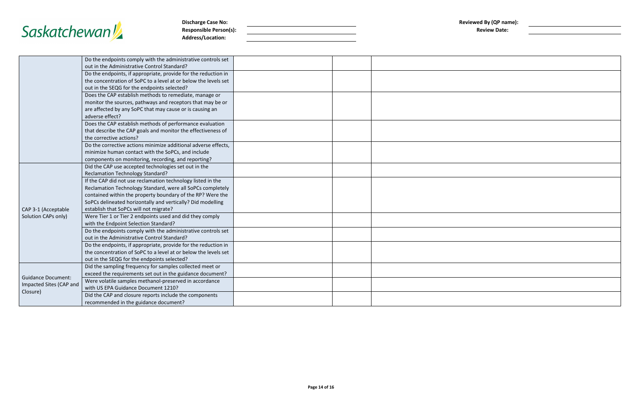

**Discharge Case No: Reviewed By (QP name): Reviewed By (QP name): Reviewed By (QP name): Reviewed By (QP name): Reviewed By (QP name): Reviewed By (QP name): Reviewed By (QP name): Reviewed By (QP name): Responsible Person(s): Address/Location:**

Did the CAP and closure reports include the components

| ewed By (QP name):<br><b>Review Date:</b> |  |  |
|-------------------------------------------|--|--|
|                                           |  |  |
|                                           |  |  |
|                                           |  |  |
|                                           |  |  |
|                                           |  |  |
|                                           |  |  |
|                                           |  |  |
|                                           |  |  |
|                                           |  |  |
|                                           |  |  |
|                                           |  |  |
|                                           |  |  |
|                                           |  |  |
|                                           |  |  |
|                                           |  |  |
|                                           |  |  |
|                                           |  |  |
|                                           |  |  |

|                           | Do the endpoints comply with the administrative controls set                                                |  |  |
|---------------------------|-------------------------------------------------------------------------------------------------------------|--|--|
|                           | out in the Administrative Control Standard?                                                                 |  |  |
|                           | Do the endpoints, if appropriate, provide for the reduction in                                              |  |  |
|                           | the concentration of SoPC to a level at or below the levels set                                             |  |  |
|                           | out in the SEQG for the endpoints selected?                                                                 |  |  |
|                           | Does the CAP establish methods to remediate, manage or                                                      |  |  |
|                           | monitor the sources, pathways and receptors that may be or                                                  |  |  |
|                           | are affected by any SoPC that may cause or is causing an                                                    |  |  |
|                           | adverse effect?                                                                                             |  |  |
|                           | Does the CAP establish methods of performance evaluation                                                    |  |  |
|                           | that describe the CAP goals and monitor the effectiveness of                                                |  |  |
|                           | the corrective actions?                                                                                     |  |  |
|                           | Do the corrective actions minimize additional adverse effects,                                              |  |  |
|                           | minimize human contact with the SoPCs, and include                                                          |  |  |
|                           | components on monitoring, recording, and reporting?<br>Did the CAP use accepted technologies set out in the |  |  |
|                           | <b>Reclamation Technology Standard?</b>                                                                     |  |  |
|                           | If the CAP did not use reclamation technology listed in the                                                 |  |  |
|                           | Reclamation Technology Standard, were all SoPCs completely                                                  |  |  |
|                           | contained within the property boundary of the RP? Were the                                                  |  |  |
|                           | SoPCs delineated horizontally and vertically? Did modelling                                                 |  |  |
| CAP 3-1 (Acceptable       | establish that SoPCs will not migrate?                                                                      |  |  |
| Solution CAPs only)       | Were Tier 1 or Tier 2 endpoints used and did they comply                                                    |  |  |
|                           | with the Endpoint Selection Standard?                                                                       |  |  |
|                           | Do the endpoints comply with the administrative controls set                                                |  |  |
|                           | out in the Administrative Control Standard?                                                                 |  |  |
|                           | Do the endpoints, if appropriate, provide for the reduction in                                              |  |  |
|                           | the concentration of SoPC to a level at or below the levels set                                             |  |  |
|                           | out in the SEQG for the endpoints selected?                                                                 |  |  |
|                           | Did the sampling frequency for samples collected meet or                                                    |  |  |
| <b>Guidance Document:</b> | exceed the requirements set out in the guidance document?                                                   |  |  |
| Impacted Sites (CAP and   | Were volatile samples methanol-preserved in accordance                                                      |  |  |
|                           | with US EPA Guidance Document 1210?                                                                         |  |  |

Closure)

recommended in the guidance document?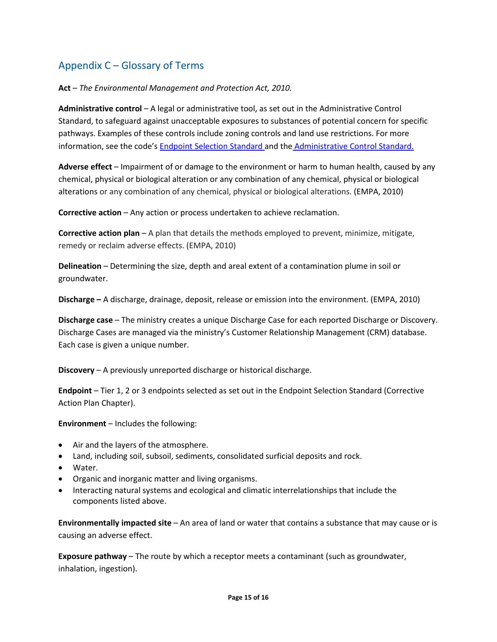### Appendix C – Glossary of Terms

**Act** – *The Environmental Management and Protection Act, 2010.*

**Administrative control** – A legal or administrative tool, as set out in the Administrative Control Standard, to safeguard against unacceptable exposures to substances of potential concern for specific pathways. Examples of these controls include zoning controls and land use restrictions. For more information, see the code's [Endpoint Selection Standard a](https://publications.saskatchewan.ca/#/products/77488)nd the [Administrative Control Standard.](https://publications.saskatchewan.ca/#/products/77466)

**Adverse effect** – Impairment of or damage to the environment or harm to human health, caused by any chemical, physical or biological alteration or any combination of any chemical, physical or biological alterations or any combination of any chemical, physical or biological alterations. (EMPA, 2010)

**Corrective action** – Any action or process undertaken to achieve reclamation.

**Corrective action plan** – A plan that details the methods employed to prevent, minimize, mitigate, remedy or reclaim adverse effects. (EMPA, 2010)

**Delineation** – Determining the size, depth and areal extent of a contamination plume in soil or groundwater.

**Discharge –** A discharge, drainage, deposit, release or emission into the environment. (EMPA, 2010)

**Discharge case** – The ministry creates a unique Discharge Case for each reported Discharge or Discovery. Discharge Cases are managed via the ministry's Customer Relationship Management (CRM) database. Each case is given a unique number.

**Discovery** – A previously unreported discharge or historical discharge.

**Endpoint** – Tier 1, 2 or 3 endpoints selected as set out in the Endpoint Selection Standard (Corrective Action Plan Chapter).

**Environment** – Includes the following:

- Air and the layers of the atmosphere.
- Land, including soil, subsoil, sediments, consolidated surficial deposits and rock.
- Water.
- Organic and inorganic matter and living organisms.
- Interacting natural systems and ecological and climatic interrelationships that include the components listed above.

**Environmentally impacted site** – An area of land or water that contains a substance that may cause or is causing an adverse effect.

**Exposure pathway** – The route by which a receptor meets a contaminant (such as groundwater, inhalation, ingestion).